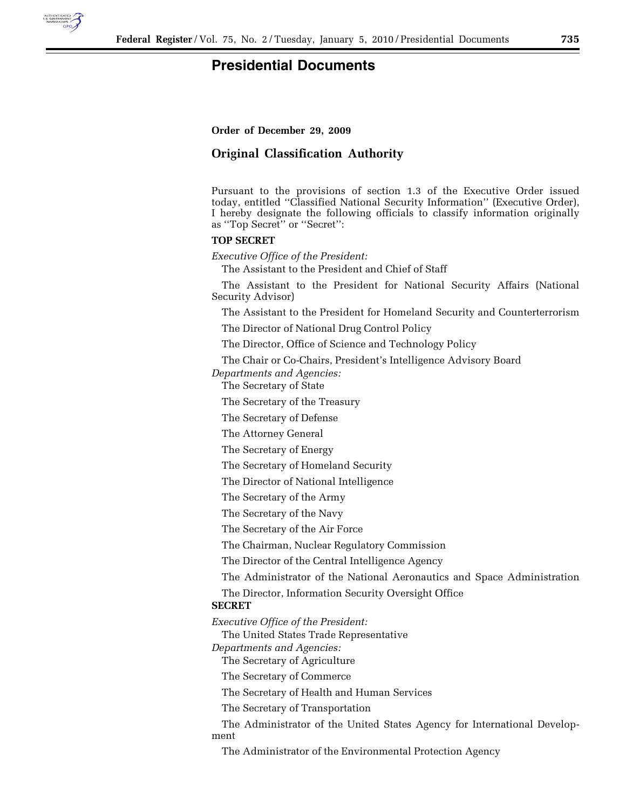

## **Presidential Documents**

**Order of December 29, 2009** 

## **Original Classification Authority**

Pursuant to the provisions of section 1.3 of the Executive Order issued today, entitled ''Classified National Security Information'' (Executive Order), I hereby designate the following officials to classify information originally as ''Top Secret'' or ''Secret'':

## **TOP SECRET**

*Executive Office of the President:* 

The Assistant to the President and Chief of Staff

The Assistant to the President for National Security Affairs (National Security Advisor)

The Assistant to the President for Homeland Security and Counterterrorism

The Director of National Drug Control Policy

The Director, Office of Science and Technology Policy

The Chair or Co-Chairs, President's Intelligence Advisory Board

*Departments and Agencies:* 

The Secretary of State

The Secretary of the Treasury

The Secretary of Defense

The Attorney General

The Secretary of Energy

The Secretary of Homeland Security

The Director of National Intelligence

The Secretary of the Army

The Secretary of the Navy

The Secretary of the Air Force

The Chairman, Nuclear Regulatory Commission

The Director of the Central Intelligence Agency

The Administrator of the National Aeronautics and Space Administration

The Director, Information Security Oversight Office

## **SECRET**

*Executive Office of the President:* 

The United States Trade Representative

*Departments and Agencies:* 

The Secretary of Agriculture

The Secretary of Commerce

The Secretary of Health and Human Services

The Secretary of Transportation

The Administrator of the United States Agency for International Development

The Administrator of the Environmental Protection Agency